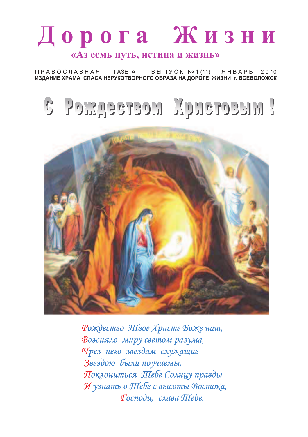# Дорога Жизни «Аз есмь путь, истина и жизнь»

**ПРАВОСЛАВНАЯ** *FA3ETA* ВЫПУСК № 1 (11) ЯНВАРЬ 2010 ИЗДАНИЕ ХРАМА СПАСА НЕРУКОТВОРНОГО ОБРАЗА НА ДОРОГЕ ЖИЗНИ г. ВСЕВОЛОЖСК





Рождество Півое Христе Боже наш, Возсияло миру светом разума, Чрез него звездам служащие Звездою были поучаемы, Поклониться Піебе Солнцу правды И узнать о Піебе с высоты Востока, Тосподи, слава Піебе.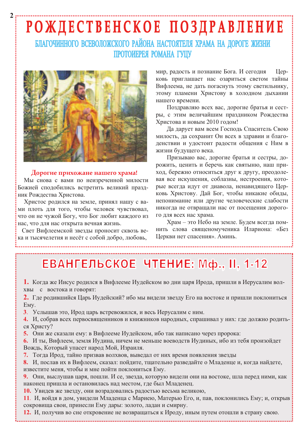# РОЖДЕСТВЕНСКОЕ ПОЗДРАВЛЕНИЕ

БЛАГОЧИННОГО ВСЕВОЛОЖСКОГО РАЙОНА НАСТОЯТЕЛЯ ХРАМА НА ДОРОГЕ ЖИЗНИ ПРОТОИЕРЕЯ РОМАНА ГУЦУ



#### Дорогие прихожане нашего храма!

Мы снова с вами по неизреченной милости Божией сподобились встретить великий праздник Рождества Христова.

Христос родился на земле, принял нашу с вами плоть для того, чтобы человек чувствовал, что он не чужой Богу, что Бог любит каждого из нас, что для нас открыта вечная жизнь.

Свет Вифлеемской звезды проносит сквозь века и тысячелетия и несёт с собой добро, любовь,

мир, радость и познание Бога. И сегодня IIenковь приглашает нас озариться светом тайны Вифлеема, не дать погаснуть этому светильнику, этому пламени Христову в холодном дыхании нашего времени.

Поздравляю всех вас, дорогие братья и сестры, с этим величайшим праздником Рождества Христова и новым 2010 годом!

Да дарует вам всем Господь Спаситель Свою милость, да сохранит Он всех в здравии и благоденствии и удостоит радости общения с Ним в жизни будущего века.

Призываю вас, дорогие братья и сестры, дорожить, ценить и беречь как святыню, наш приход, бережно относиться друг к другу, преодолевая все искушения, соблазны, нестроения, которые всегда идут от диавола, ненавидящего Церковь Христову. Дай Бог, чтобы никакие обиды, непонимание или другие человеческие слабости никогда не отвращали нас от посещения дорогого для всех нас храма.

Храм - это Небо на земле. Будем всегда помнить слова священомученика Илариона: «Без Церкви нет спасения». Аминь.

## ЕВАНГЕЛЬСКОЕ ЧТЕНИЕ: Мф., II, 1-12

1. Когда же Иисус родился в Вифлееме Иудейском во дни царя Ирода, пришли в Иерусалим волхвы с востока и говорят:

2. Где родившийся Царь Иудейский? ибо мы видели звезду Его на востоке и пришли поклониться EMV.

3. Услышав это, Ирод царь встревожился, и весь Иерусалим с ним.

4. И, собрав всех первосвященников и книжников народных, спрашивал у них: где должно родиться Христу?

5. Они же сказали ему: в Вифлееме Иудейском, ибо так написано через пророка:

6. И ты, Вифлеем, земля Иудина, ничем не меньше воеводств Иудиных, ибо из тебя произойдет Вождь, Который упасет народ Мой, Израиля.

7. Тогда Ирод, тайно призвав волхвов, выведал от них время появления звезды

8. И, послав их в Вифлеем, сказал: пойдите, тщательно разведайте о Младенце и, когда найдете, известите меня, чтобы и мне пойти поклониться Ему.

9. Они, выслушав царя, пошли. И се, звезда, которую видели они на востоке, шла перед ними, как наконец пришла и остановилась над местом, где был Младенец.

10. Увидев же звезду, они возрадовались радостью весьма великою,

11. И, войдя в дом, увидели Младенца с Мариею, Матерью Его, и, пав, поклонились Ему; и, открыв сокровища свои, принесли Ему дары: золото, ладан и смирну.

12. И, получив во сне откровение не возвращаться к Ироду, иным путем отошли в страну свою.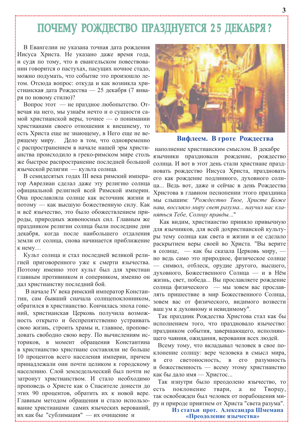## ПОЧЕМУ РОЖДЕСТВО ПРАЗДНУЕТСЯ 25 ДЕКАБРЯ?

В Евангелии не указана точная дата рождения Иисуса Христа. Не указано даже время года, и судя по тому, что в евангельском повествовании говорится о пастухах, пасущих ночное стадо, можно подумать, что событие это произошло летом. Отсюда вопрос: откуда и как возникла христианская дата Рождества — 25 декабря (7 января по новому стилю)?

Вопрос этот — не праздное любопытство. Отвечая на него, мы узнаём нечто и о сушности самой христианской веры, точнее — о понимании христианами своего отношения к внешнему, то есть Христа еще не знающему, в Него еще не ве-Дело в том, что одновременно рящему миру. с распространением в начале нашей эры христианства происходило в греко-римском мире столь же быстрое распространение последней большой языческой религии — культа солнца.

В семидесятых годах III века римский император Аврелиан сделал даже эту религию солнца официальной религией всей Римской империи. Она прославляла солнце как источник жизни и потому — как высшую божественную силу. Как и всё язычество, это было обожествлением приролы, природных живоносных сил. Главным же праздником религии солнца были последние дни декабря, когда после наибольшего отдаления земли от солнца, снова начинается приближение  $K$  HeMV $\ldots$ 

Культ солнца и стал последней великой религией приговоренного уже к смерти язычества. Поэтому именно этот культ был для христиан главным противником и соперником, именно он дал христианству последний бой.

В начале IV века римский император Константин, сам бывший сначала солнцепоклонником, обратился в христианство. Кончилась эпоха гонений, христианская Церковь получила возможность открыто и беспрепятственно устраивать свою жизнь, строить храмы и, главное, проповедовать свободно свою веру. По вычислениям историков, в момент обращения Константина в христианство христиане составляли не больше 10 процентов всего населения империи, причем принадлежали они почти целиком к городскому населению. Слой землелельческий был почти не затронут христианством. И стало необходимо проповедь о Христе как о Спасителе донести до этих 90 процентов, обратить их к новой вере. Главным методом обращения и стало использование христианами самих языческих верований, их как бы "сублимация" — их очищение и



Вифлеем. В гроте Рождества

наполнение христианским смыслом. В декабре язычники праздновали рождение, рождество солнца. И вот в этот день стали христиане праздновать рождество Иисуса Христа, праздновать его как рождение подлинного, духовного солнца... Ведь вот, даже и сейчас в день Рождества Христова в главном песнопении этого праздника мы слышим: "Рождество Твое, Христе Боже наш, воссияло миру свет разума ... научил нас кланяться Тебе, Солнцу правды..."

Как видим, христианство приняло привычную для язычников, для всей дохристианской культуры тему солнца как света и жизни и ее сделало раскрытием веры своей во Христа. "Вы верите в солнце, — как бы сказала Церковь миру, но ведь само это природное, физическое солнце - символ, отблеск, орудие другого, высшего, духовного, Божественного Солнца — и в Нём жизнь, свет, победа... Вы прославляете рождение солнца физического - мы зовем вас прославлять пришествие в мир Божественного Солнца, зовем вас от физического, видимого возвести ваш ум к духовному и невидимому".

Так праздник Рождества Христова стал как бы исполнением того, что праздновало язычество: праздником события, завершающего, исполняющего чаяния, ожидания, верования всех людей.

Всему тому, что вкладывал человек в свое поклонение солнцу: вере человека в смысл мира,  $\overline{R}$  $ero$ светоносность,  $\, {\bf B}$  $er$ разумность и божественность - всему этому христианство как бы дало имя - Христос...

Так изнутри было преодолено язычество, то  $ec<sub>cb</sub>$ поклонение твари,  $\mathbf{a}$ He Творцу, так освобожден был человек от порабощения миру и природе приятием от Христа "света разума".

> Из статьи прот. Александра Шмемана «Преодоление язычества»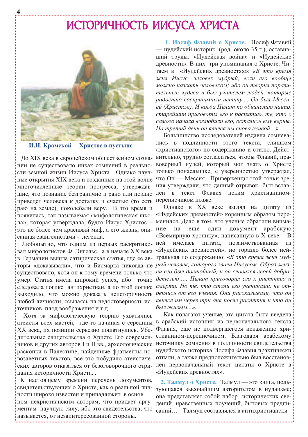### ИСТОРИЧНОСТЬ ИИСУСА ХРИСТА



И.Н. Крамской Христос в пустыне

Ло XIX века в европейском общественном сознании не существовало никак сомнений в реальношие, что познание безгранично и рано или поздно лен в текст Флавия неким приведет человека к достатку и счастью (то есть переписчиком позже. раю на земле), поколебали веру. В это время и это не более чем красивый миф, а его жизнь, опи- ние санная евангелистами - легенда.

Любопытно, что одним из первых раскритико- ней вал мифологистов Ф. Энгельс, а в начале XX века «Иудейских древностей», но гораздо более нейторы «доказывали», что и Бисмарка никогда не рый человек, которого звали Иисусом. Образ жизсуществовало, хотя он к тому времени только что ни его был достойный, и он славился своей доброумер. Статья имела широкий успех, ибо точно детелью..... Пилат приговорил его к распятию и следовала логике антихристиан, а по этой логике смерти. Но те, кто стали его учениками, не отточников, плод воображения и т.д.

Хотя за мифологическую теорию ухватились ХХ века, их позиции серьезно пошатнулись. Убедительные свидетельства о Христе Его современраскопки в Палестине, найденные фрагменты ноцания историчности Христа..

К настоящему времени перечень документов, свидетельствующих о Христе, как о реальной личности широко известен и принадлежит в основ ном нехристианским авторам, что придает аргументам научную силу, ибо это свидетельства, что называется, от незаинтересованной стороны.

1. Иосиф Флавий о Христе. Иосиф Флавий — иудейский историк (род. около 35 г.), оставивший труды: «Иудейская война» и «Иудейские древности». В них три упоминания о Христе. Читаем в «Иудейских древностях»: «В это время жил Иисус, человек мудрый, если его вообще можно назвать человеком; ибо он творил поразительные чудеса и был учителем людей, которые радостно воспринимали истину.... Он был Мессией (Христом). И когда Пилат по обвинению наших старейшин приговорил его к распятию, те, кто с самого начала возлюбили его, остались ему верны. На третий день он явился им снова живой...»

Большинство исследователей издавна сомневав подлинности этого текста, слишком лись «христианского» по содержанию и стилю. Действительно, трудно согласиться, чтобы Флавий, правоверный иудей, который мог знать о Христе сти земной жизни Иисуса Христа. Однако науч- только понаслышке, с уверенностью утверждал, ные открытия XIX века и созданные на этой волне что Он - Мессия. Приверженцы этой точки зремногочисленные теории прогресса, утверждав- ния утверждали, что данный отрывок был вставхристианином-

Однако в XX веке взгляд на цитату из появилась, так называемая «мифологическая шко- «Иудейских древностей» коренным образом перела», которая утверждала, будто Иисус Христос - менился. Дело в том, что ученые обратили внимана еще ОДИН документ-арабскую «Всемирную хронику», написанную в X веке. В имелась цитата, позаимствованная И3 в Германии вышла сатирическая статья, где ее ав- тральная по содержанию: «В это время жил мудвыходило, что можно доказать неисторичность реклись от его учения. Они рассказывали, что он любой личности, ссылаясь на недостоверность ис- явился им через три дня после распятия и что он был живым...».

Как полагают ученые, эта цитата была введена атеисты всех мастей, где-то начиная с середины в арабский источник из первоначального текста Флавия, еще не подвергшегося искажению христианином-переписчиком. Благодаря арабскому ников и других авторов I и II вв., археологические источнику сомнения в подлинности свидетельства иудейского историка Иосифа Флавия практически возаветных текстов, все это побудило атеистиче- отпали, а также предположительно был восстановских авторов отказаться от безоговорочного отри- лен первоначальный текст цитаты о Христе в «Иудейских древностях».

> 2. Талмуд о Христе. Талмуд — это книга, пользующаяся высочайшим авторитетом в иудаизме; она представляет собой набор исторических сведений, нравственных поучений, бытовых предписаний... Талмуд составлялся в антихристиански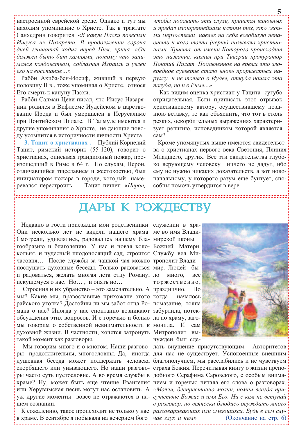настроенной еврейской среде. Однако и тут мы находим упоминание о Христе. Так в трактате Санхедрин говорится: «В канун Пасхи повесили Иисуса из Назарета. В продолжении сорока дней глашатай ходил перед Ним, крича: «Он должен быть бит камнями, потому что занимался колдовством, соблазнял Израиль и увлек его на восстание...»

Рабби Акиба-бен-Иосиф, живший в первую половину II в., тоже упоминал о Христе, относя Его смерть к кануну Пасхи.

Рабби Салман Цеви писал, что Иисус Назарянин родился в Вифлееме Иудейском в царствование Ирода и был умерщвлен в Иерусалиме при Понтийском Пилате. В Талмуде имеются и другие упоминания о Христе, не дающие поводу усомнится в историчности личности Христа.

3. Тацит о христианах. Публий Корнелий Тацит, римский историк (55-120), говорит о христианах, описывая грандиозный пожар, произошедший в Риме в 64 г. По слухам, Нерон, отличавшийся тщеславием и жестокостью, был инициатором пожара в городе, который намеревался перестроить. Тацит пишет: «Нерон,

чтобы подавить эти слухи, приискал виновных и предал изощреннейшим казням тех, кто своими мерзостями навлек на себя всеобщую ненависть и кого толпа (чернь) называла христианами. Христа, от имени Которого происходит это название, казнил при Тиверии прокуратор Понтий Пилат. Подавленное на время это зловредное суеверие стало вновь прорываться наружу, и не только в Иудее, откуда пошла эта пагуба, но и в Риме...»

Как видим оценка христиан у Тацита сугубо отрицательная. Если приписать этот отрывок христианскому автору, осуществившему позднюю вставку, то как объяснить, что тот в столь резких, оскорбительных выражениях характеризует религию, исповедником которой является  $can?$ 

Кроме упомянутых выше имеются свидетельства о христианах первого века Светония, Плиния Младшего, других. Все эти свидетельства глубоко верующему человеку ничего не дадут, ибо ему не нужно никаких доказательств, а вот новоначальному, у которого разум еще бунтует, способны помочь утвердится в вере.

### ДАРЫ К РОЖДЕСТВУ

Недавно в гости приезжали мои родственники. служении в хра-Они несколько лет не видели нашего храма. ме во имя Влади-Смотрели, удивлялись, радовались нашему бла- мирской иконы гообразию и благолепию. У нас и новая коло- Божией Матери. кольня, и чудесный плодоносящий сад, строится Службу вел Мичасовня... После службы за чашкой чая можно трополит Владипослушать духовные беседы. Только радоваться мир. Людей и радоваться, желать многая лета отцу Роману, ло пекущемуся о нас. Но..., и опять но...

Строения и их убранство - это замечательно. А празднично. мы? Какие мы, православные прихожане этого когда райского уголка? Достойны ли мы забот отца Ро- помазание, толпа мана о нас? Иногда у нас спонтанно возникают забурлила, потекобсуждения этих вопросов. И с горечью и болью ла по храму, загомы говорим о собственной невнимательности к монила. И духовной жизни. В частности, хочется затронуть Митрополит вытакой момент как разговоры.

шем сознании.

в храме. В сентябре я побывала на вечернем бого чае глух и нем»

 $6<sub>bl</sub>$ много, **BCC** торжественно.  $H<sub>0</sub>$ началось cam нужден был сде-



Мы говорим много и о многом. Наши разгово- лать внушение присутствующим. Авторитетов ры продолжительны, многословны. Да, иногда для нас не существует. Успокоенные внешним душевная беседа может поддержать человека благополучием, мы расслабились и не чувствуем скорбящего или унывающего. Но наши разгово- страха Божия. Перечитывая книгу о жизни препоры часто суть пустословие. А во время службы в добного Серафима Саровского, с особым внимахраме? Ну, может быть еще чтение Евангелия нием и горечью читала его слова о разговорах. или Херувимская песнь могут нас остановить. А «Молчи, беспрестанно молчи, помни всегда приуж другие моменты вовсе не отражаются в на- *сутствие Божие и имя Его. Ни с кем не вступай* в разговор, но всячески блюдись осуждать много К сожалению, такое происходит не только у нас разговаривающих или смеющихся. Будь в сем слу-(Окончание на стр. 6):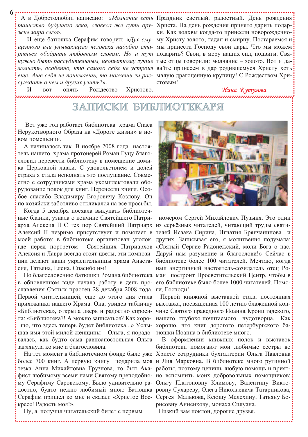таинство будущего века, словеса же суть ору- Христа. На день рождения принято дарить подаржие мира сего».

нужно быть рассудительным, неопытному лучше тые отцы говорили: молчание - золото. Вот и дамолчать, особенно, кто самого себя не устроил вайте принесем в дар родившемуся Христу хоть еще. Аще себя не понимаешь, то можешь ли рас- малую драгоценную крупицу! С Рождеством Хрисуждать о чем и других учить?».

Рождество

ОПЯТЬ

 $\overline{M}$ 

**BOT** 

А в Добротолюбии написано: «Молчание есть Праздник светлый, радостный. День рождения: ки. Как волхвы когда-то принесли новорожденно-И еще батюшка Серафим говорил: «Дух сму- му Христу золото, ладан и смирну. Постараемся и щенного или унывающего человека надобно ста- мы принести Господу свои дары. Что мы можем раться ободрить любовным словом. Но и тут подарить? Свои, в меру наших сил, подвиги. Свястовым!

#### Нина Кутузова

,,,,,,,,,,,,,,,,,,,,, ,,,,,,,,,,,,,

### ЗАПИСКИ БИБЛИ

Христово.

Вот уже год работает библиотека храма Спаса Нерукотворного Образа на «Дороге жизни» в новом помещении.

А начиналось так. В ноябре 2008 года настоятель нашего храма протоиерей Роман Гуцу благословил перевести библиотеку в помещение домика Церковной лавки. С удовольствием и долей страха я стала исполнять это послушание. Совместно с сотрудниками храма укомплектовали оборудование полок для книг. Перенесли книги. Особое спасибо Владимиру Егоровичу Козлову. Он по хозяйски заботливо откликался на все просьбы.

Когда 5 декабря поехала выкупать библиотечные бланки, узнала о кончине Святейшего Патриарха Алексия II С тех пор Святейший Патриарх из серьёзных читателей, читающий труды святи-Алексий II незримо присутствует и помогает в телей Исаака Сирина, Игнатия Брянчанинова и где перед портретом Алексия и Лавра всегда стоят цветы, эти компози- Даруй нам разумение и благослови!» Сейчас в ции делают наши украсительницы храма Анаста- библиотеке более 100 читателей. Мечтаю, когда сия. Татьяна. Елена. Спасибо им!

в обновленном виде начала работу в день про- его библиотеке было более 1000 читателей. Помославления Святых праотец 28 декабря 2008 года. ги, Господи! Первой читательницей, еще до этого дня стала прихожанка нашего Храма. Она, увидев табличку выставка, посвященная 100 летию блаженной кон-«Библиотека», открыла дверь и радостно спроси- чине Святого праведного Иоанна Кронштадского, шав имя этой милой женщины - Ольга, я порадо- тюшки Иоанна в библиотеке много. валась, как будто сама равноапостольная Ольга заглянула ко мне и благословила.

тезка Анна Михайловна Грузнова, то был Ака- работы, поэтому ценишь любую помощь и приятдостно, будто нежно любимый мною Батюшка ровну Сухареву, Олега Николаевича Татарникова, Серафим пришел ко мне и сказал: «Христос Вос- Сергея Малькова, Ксюшу Мелехину, Татьяну Бокресе! Радость моя!».



номером Сергей Михайлович Пузыня. Это один моей работе; в библиотеке организован уголок, других. Записывая его, я молитвенно подумала: Святейших Патриархов «Святый Сергие Радонежский, моли Бога о нас. наш энергичный настоятель-созидатель отец Ро-По благословению батюшки Романа библиотека ман построит Просветительский Центр, чтобы в

Первой книжной выставкой стала постоянная ла: «Библиотека?! А можно записаться? Как хоро- нашего глубоко почитаемого чудотворца. Как шо, что здесь теперь будет библиотека...» Услы- хорошо, что книг дорогого петербургского ба-

В оформлении книжных полок и выставок библиотеки помогают мои любимые сестры во На тот момент в библиотечном фонде было уже Христе сотрудники бухгалтерии Ольга Павловна более 700 книг. А первую книгу подарила моя и Лия Марковна. В библиотеке много рутинной фист любимому всеми нами Святому преподобно- но вспомнить моих добровольных помощников: му Серафиму Саровскому. Было удивительно ра- Ольгу Платоновну Климову, Валентину Викторисовну Анненкову, монаха Силуана.

Низкий вам поклон, дорогие друзья.

Ну, а получил читательский билет с первым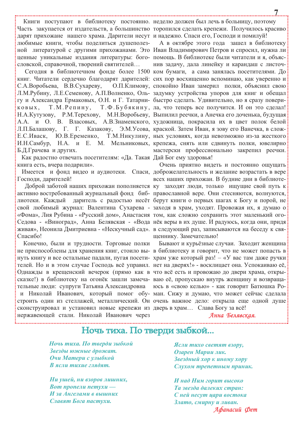Книги поступают в библиотеку постоянно. неделю должен был лечь в больницу, поэтому дарят прихожане нашего храма. Дарители несут и надежно. Спаси его, Господи и помилуй! любимые книги, чтобы поделиться душеполезсловской, справочной, творений святителей...

С.А.Воробьева, В.В.Сухареву, гу и Александра Ермаковых, О.Н. и Г. Татарни- быстро сделать. Удивительно, но я сразу повери-Т.М.Репину, КОВЫХ, Е.С.Иваск, Ю.В.Еременко, Б.Д.Грачева и других.

Как радостно отвечать посетителям: «Да. Такая Дай Бог ему здоровья! книга есть, вчера подарили».

Господи, дарителей!

Спасибо!

Конечно, были и трудности. Торговые полки сконструировал и установил новые крепежи из дверь в храм... Слава Богу за всё! нержавеющей стали. Николай Иванович через

Часть закупается от издательств, а большинство торопился сделать крепежи. Получилось красиво

А в октябре этого года зашел в библиотеку ной литературой с другими прихожанами. Это Иван Владимирович Петров и спросил, нужна ли ценные уникальные издания литературы: бого- помощь. В библиотеке были читатели и я, объяснив задачу, дала линейку и карандаш с листоч-Сегодня в библиотечном фонде более 1500 ком бумаги, а сама занялась посетителями. До книг. Читатели сердечно благодарят дарителей: сих пор восхищенно вспоминаю, как уверенно и О.П.Климову, спокойно Иван замерил полки, объяснил свою Л.М.Рубину, Л.Е.Семенову, А.П.Волненко, Оль- задумку устройства упоров для книг и обещал Т.Ф.Бубякину, ла, что теперь все получится. И он это сделал! Н.А.Кутузову, Р.М.Терехову, М.Н.Воробьеву, Выпилил реечки, а Анечка его доченька, будущая А.А. и О. В. Власовых, А.В.Знаменского, художница, покрасила их в цвет полок белой Л.П.Балашову, Г. Г. Казакову, Э.М.Усова, краской. Затем Иван, я зову его Ванечка, в слож-Т.М.Никулину, ных условиях, когда невозможно из-за жесткого И.Н.Самбур, Н.А. и Е. М. Мельниковых, крепежа, снять или сдвинуть полки, ювелирно мастерски профессионально закрепил реечки.

Очень приятно видеть и постоянно ощущать Имеется и фонд видео и аудиотеки. Спаси, доброжелательность и желание возрастать в вере всех наших прихожан. В будние дни в библиоте-Доброй заботой наших прихожан пополняется ку заходят люди, только ищущие свой путь к активно востребованный журнальный фонд биб- православной вере. Они стесняются, волнуются, лиотеки. Каждый даритель с радостью несёт берут книги о первых шагах к Богу и порой, не свой любимый журнал: Валентина Сухарева - заходя в храм, уходят. Провожая их, я думаю о «Фома», Лия Рубина - «Русский дом», Анастасия том, как сложно сохранить этот маленький ого-Седова - «Виноград», Анна Белявская - «Вода нёк веры в их душе. И радуюсь, когда они, придя живая», Неонила Дмитриевна - «Нескучный сад». в следующий раз, записываются на беседу к свяшеннику. Замечательно!

Бывают и курьёзные случаи. Заходит женщина не приспособлены для хранения книг, стоило вы- в библиотеку и говорит, что не может попасть в нуть книгу и все остальные падали, пугая посети- храм уже который раз! - «У вас там даже ручки телей. Но и в этом случае Господь всё управил. нет на дверях!» - восклицает она. Успокаиваю её, Однажды в крещенский вечерок (прямо как в что всё есть и провожаю до двери храма, открысказке!) в библиотеку на огонёк зашли замеча- ваю её, пропускаю внутрь женщину и возвращательные люди: супруги Татьяна Александровна **юсь в «свою келью»** - как говорит Батюшка Рои Николай Иванович, который помог обу- ман. Сижу и думаю, что может сейчас сделала строить один из стеллажей, металлический. Он очень важное дело: открыла еще одной душе

#### Анна Белявская.

### Ночь тиха. По тверди зыбкой...

Ночь тиха. По тверди зыбкой Звезды южные дрожат. Очи Матери с улыбкой В ясли тихие глядят.

Ни ушей, ни взоров лишних, Вот пропели петухи — И за Ангелами в вышних Славят Бога пастухи.

Ясли тихо светят взору. Озарен Марии лик. Звездный хор к иному хору Слухом трепетным приник.

И над Ним горит высоко Та звезда далеких стран: С ней несут цари востока Злато, смирну и ливан. Афанасий Фет